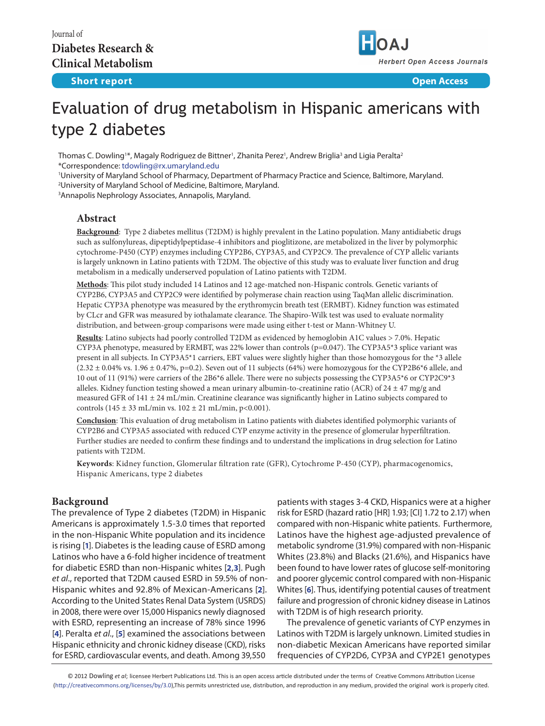

# Evaluation of drug metabolism in Hispanic americans with type 2 diabetes

Thomas C. Dowling'\*, Magaly Rodriguez de Bittner', Zhanita Perez', Andrew Briglia<sup>3</sup> and Ligia Peralta<sup>2</sup> \*Correspondence: [tdowling@rx.umaryland.edu](mailto:mailto:tdowling%40rx.umaryland.edu?subject=)

1 University of Maryland School of Pharmacy, Department of Pharmacy Practice and Science, Baltimore, Maryland.

2 University of Maryland School of Medicine, Baltimore, Maryland.

3 Annapolis Nephrology Associates, Annapolis, Maryland.

# **Abstract**

**Background**: Type 2 diabetes mellitus (T2DM) is highly prevalent in the Latino population. Many antidiabetic drugs such as sulfonylureas, dipeptidylpeptidase-4 inhibitors and pioglitizone, are metabolized in the liver by polymorphic cytochrome-P450 (CYP) enzymes including CYP2B6, CYP3A5, and CYP2C9. The prevalence of CYP allelic variants is largely unknown in Latino patients with T2DM. The objective of this study was to evaluate liver function and drug metabolism in a medically underserved population of Latino patients with T2DM.

**Methods**: This pilot study included 14 Latinos and 12 age-matched non-Hispanic controls. Genetic variants of CYP2B6, CYP3A5 and CYP2C9 were identified by polymerase chain reaction using TaqMan allelic discrimination. Hepatic CYP3A phenotype was measured by the erythromycin breath test (ERMBT). Kidney function was estimated by CLcr and GFR was measured by iothalamate clearance. The Shapiro-Wilk test was used to evaluate normality distribution, and between-group comparisons were made using either t-test or Mann-Whitney U.

**Results**: Latino subjects had poorly controlled T2DM as evidenced by hemoglobin A1C values > 7.0%. Hepatic CYP3A phenotype, measured by ERMBT, was 22% lower than controls (p=0.047). The CYP3A5\*3 splice variant was present in all subjects. In CYP3A5\*1 carriers, EBT values were slightly higher than those homozygous for the \*3 allele  $(2.32 \pm 0.04\% \text{ vs. } 1.96 \pm 0.47\%, \text{ p=0.2})$ . Seven out of 11 subjects (64%) were homozygous for the CYP2B6\*6 allele, and 10 out of 11 (91%) were carriers of the 2B6\*6 allele. There were no subjects possessing the CYP3A5\*6 or CYP2C9\*3 alleles. Kidney function testing showed a mean urinary albumin-to-creatinine ratio (ACR) of  $24 \pm 47$  mg/g and measured GFR of 141 ± 24 mL/min. Creatinine clearance was significantly higher in Latino subjects compared to controls (145 ± 33 mL/min vs.  $102 \pm 21$  mL/min, p<0.001).

**Conclusion**: This evaluation of drug metabolism in Latino patients with diabetes identified polymorphic variants of CYP2B6 and CYP3A5 associated with reduced CYP enzyme activity in the presence of glomerular hyperfiltration. Further studies are needed to confirm these findings and to understand the implications in drug selection for Latino patients with T2DM.

**Keywords**: Kidney function, Glomerular filtration rate (GFR), Cytochrome P-450 (CYP), pharmacogenomics, Hispanic Americans, type 2 diabetes

## **Background**

The prevalence of Type 2 diabetes (T2DM) in Hispanic Americans is approximately 1.5-3.0 times that reported in the non-Hispanic White population and its incidence is rising [**[1](#page-3-0)**]. Diabetes is the leading cause of ESRD among Latinos who have a 6-fold higher incidence of treatment for diabetic ESRD than non-Hispanic whites [**[2](#page-3-1)**,**[3](#page-3-2)**]. Pugh *et al*., reported that T2DM caused ESRD in 59.5% of non-Hispanic whites and 92.8% of Mexican-Americans [**[2](#page-3-1)**]. According to the United States Renal Data System (USRDS) in 2008, there were over 15,000 Hispanics newly diagnosed with ESRD, representing an increase of 78% since 1996 [**[4](#page-3-3)**]. Peralta *et al*., [**[5](#page-4-0)**] examined the associations between Hispanic ethnicity and chronic kidney disease (CKD), risks for ESRD, cardiovascular events, and death. Among 39,550

patients with stages 3-4 CKD, Hispanics were at a higher risk for ESRD (hazard ratio [HR] 1.93; [CI] 1.72 to 2.17) when compared with non-Hispanic white patients. Furthermore, Latinos have the highest age-adjusted prevalence of metabolic syndrome (31.9%) compared with non-Hispanic Whites (23.8%) and Blacks (21.6%), and Hispanics have been found to have lower rates of glucose self-monitoring and poorer glycemic control compared with non-Hispanic Whites [**[6](#page-4-1)**]. Thus, identifying potential causes of treatment failure and progression of chronic kidney disease in Latinos with T2DM is of high research priority.

The prevalence of genetic variants of CYP enzymes in Latinos with T2DM is largely unknown. Limited studies in non-diabetic Mexican Americans have reported similar frequencies of CYP2D6, CYP3A and CYP2E1 genotypes

© 2012 Dowling *et al*; licensee Herbert Publications Ltd. This is an open access article distributed under the terms of Creative Commons Attribution License (<http://creativecommons.org/licenses/by/3.0>),This permits unrestricted use, distribution, and reproduction in any medium, provided the original work is properly cited.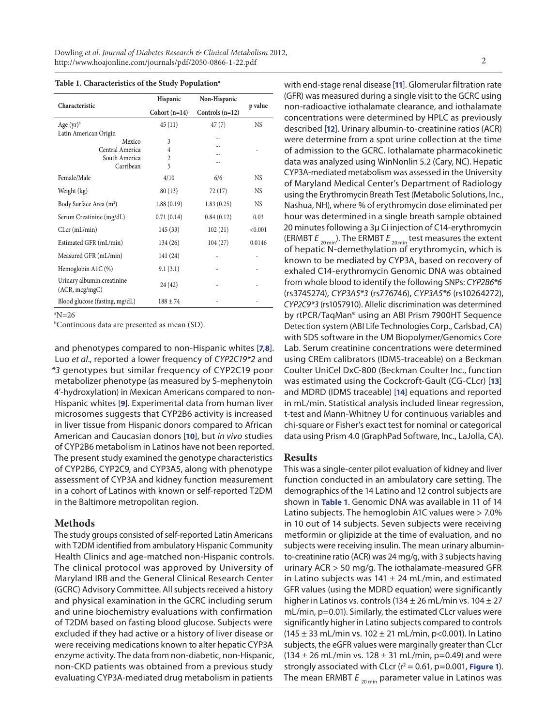| Characteristic                                | Hispanic        | Non-Hispanic      | p value   |
|-----------------------------------------------|-----------------|-------------------|-----------|
|                                               | Cohort $(n=14)$ | Controls $(n=12)$ |           |
| Age $(yr)^b$                                  | 45(11)          | 47(7)             | <b>NS</b> |
| Latin American Origin                         |                 |                   |           |
| Mexico                                        | 3               |                   |           |
| Central America                               | 4               |                   |           |
| South America                                 | $\overline{c}$  |                   |           |
| Carribean                                     | 5               |                   |           |
| Female/Male                                   | 4/10            | 6/6               | <b>NS</b> |
| Weight (kg)                                   | 80(13)          | 72 (17)           | <b>NS</b> |
| Body Surface Area (m <sup>2</sup> )           | 1.88(0.19)      | 1.83(0.25)        | <b>NS</b> |
| Serum Creatinine (mg/dL)                      | 0.71(0.14)      | 0.84(0.12)        | 0.03      |
| $CLcr$ (mL/min)                               | 145(33)         | 102(21)           | < 0.001   |
| Estimated GFR (mL/min)                        | 134(26)         | 104(27)           | 0.0146    |
| Measured GFR (mL/min)                         | 141 (24)        |                   |           |
| Hemoglobin A1C (%)                            | 9.1(3.1)        |                   |           |
| Urinary albumin: creatinine<br>(ACR, mcg/mgC) | 24 (42)         |                   |           |
| Blood glucose (fasting, mg/dL)                | $188 \pm 74$    |                   |           |
|                                               |                 |                   |           |

 $\mathrm{N=26}$ 

b Continuous data are presented as mean (SD).

and phenotypes compared to non-Hispanic whites [**[7](#page-4-2)**,**[8](#page-4-3)**]. Luo *et al*., reported a lower frequency of *CYP2C19\*2* and *\*3* genotypes but similar frequency of CYP2C19 poor metabolizer phenotype (as measured by S-mephenytoin 4'-hydroxylation) in Mexican Americans compared to non-Hispanic whites [**[9](#page-4-4)**]. Experimental data from human liver microsomes suggests that CYP2B6 activity is increased in liver tissue from Hispanic donors compared to African American and Caucasian donors [**[10](#page-4-5)**], but *in vivo* studies of CYP2B6 metabolism in Latinos have not been reported. The present study examined the genotype characteristics of CYP2B6, CYP2C9, and CYP3A5, along with phenotype assessment of CYP3A and kidney function measurement in a cohort of Latinos with known or self-reported T2DM in the Baltimore metropolitan region.

## **Methods**

The study groups consisted of self-reported Latin Americans with T2DM identified from ambulatory Hispanic Community Health Clinics and age-matched non-Hispanic controls. The clinical protocol was approved by University of Maryland IRB and the General Clinical Research Center (GCRC) Advisory Committee. All subjects received a history and physical examination in the GCRC including serum and urine biochemistry evaluations with confirmation of T2DM based on fasting blood glucose. Subjects were excluded if they had active or a history of liver disease or were receiving medications known to alter hepatic CYP3A enzyme activity. The data from non-diabetic, non-Hispanic, non-CKD patients was obtained from a previous study evaluating CYP3A-mediated drug metabolism in patients

with end-stage renal disease [**[11](#page-4-6)**]. Glomerular filtration rate (GFR) was measured during a single visit to the GCRC using non-radioactive iothalamate clearance, and iothalamate concentrations were determined by HPLC as previously described [**[12](#page-4-7)**]. Urinary albumin-to-creatinine ratios (ACR) were determine from a spot urine collection at the time of admission to the GCRC. Iothalamate pharmacokinetic data was analyzed using WinNonlin 5.2 (Cary, NC). Hepatic CYP3A-mediated metabolism was assessed in the University of Maryland Medical Center's Department of Radiology using the Erythromycin Breath Test (Metabolic Solutions, Inc., Nashua, NH), where % of erythromycin dose eliminated per hour was determined in a single breath sample obtained 20 minutes following a 3µ Ci injection of C14-erythromycin (ERMBT *E* 20 min). The ERMBT *E* 20 min test measures the extent of hepatic N-demethylation of erythromycin, which is known to be mediated by CYP3A, based on recovery of exhaled C14-erythromycin Genomic DNA was obtained from whole blood to identify the following SNPs: *CYP2B6\*6* (rs3745274), *CYP3A5\*3* (rs776746), *CYP3A5\*6* (rs10264272), *CYP2C9\*3* (rs1057910). Allelic discrimination was determined by rtPCR/TaqMan® using an ABI Prism 7900HT Sequence Detection system (ABI Life Technologies Corp., Carlsbad, CA) with SDS software in the UM Biopolymer/Genomics Core Lab. Serum creatinine concentrations were determined using CREm calibrators (IDMS-traceable) on a Beckman Coulter UniCel DxC-800 (Beckman Coulter Inc., function was estimated using the Cockcroft-Gault (CG-CLcr) [**[13](#page-4-8)**] and MDRD (IDMS traceable) [**[14](#page-4-9)**] equations and reported in mL/min. Statistical analysis included linear regression, t-test and Mann-Whitney U for continuous variables and chi-square or Fisher's exact test for nominal or categorical data using Prism 4.0 (GraphPad Software, Inc., LaJolla, CA).

#### **Results**

This was a single-center pilot evaluation of kidney and liver function conducted in an ambulatory care setting. The demographics of the 14 Latino and 12 control subjects are shown in **Table 1**. Genomic DNA was available in 11 of 14 Latino subjects. The hemoglobin A1C values were > 7.0% in 10 out of 14 subjects. Seven subjects were receiving metformin or glipizide at the time of evaluation, and no subjects were receiving insulin. The mean urinary albuminto-creatinine ratio (ACR) was 24 mg/g, with 3 subjects having urinary ACR > 50 mg/g. The iothalamate-measured GFR in Latino subjects was  $141 \pm 24$  mL/min, and estimated GFR values (using the MDRD equation) were significantly higher in Latinos vs. controls (134  $\pm$  26 mL/min vs. 104  $\pm$  27 mL/min, p=0.01). Similarly, the estimated CLcr values were significantly higher in Latino subjects compared to controls (145  $\pm$  33 mL/min vs. 102  $\pm$  21 mL/min, p<0.001). In Latino subjects, the eGFR values were marginally greater than CLcr  $(134 \pm 26 \text{ mL/min vs. } 128 \pm 31 \text{ mL/min, } p=0.49)$  and were strongly associated with CLcr  $(r^2 = 0.61, p = 0.001,$  [Figure 1](#page-2-0)). The mean ERMBT  $E_{20 \text{ min}}$  parameter value in Latinos was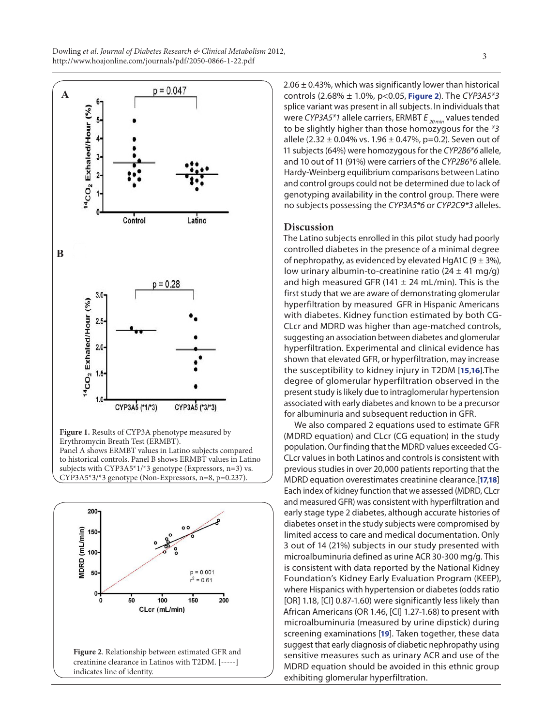<span id="page-2-0"></span>Dowling *et al*. *Journal of Diabetes Research & Clinical Metabolism* 2012, bowing et al. *Journal of Diabetes Research & Cunical Metabolism 2*012,<br><http://www.hoajonline.com/journals/pdf/2050-0866-1-22.pdf>



subjects with CYP3A5\*1/\*3 genotype (Expressors, n=3) vs. CYP3A5\*3/\*3 genotype (Non-Expressors, n=8, p=0.237).



 $2.06 \pm 0.43$ %, which was significantly lower than historical controls (2.68% ± 1.0%, p<0.05, **Figure 2**). The *CYP3A5\*3* splice variant was present in all subjects. In individuals that were *CYP3A5\*1* allele carriers, ERMBT  $E_{20 min}$  values tended to be slightly higher than those homozygous for the *\*3* allele (2.32  $\pm$  0.04% vs. 1.96  $\pm$  0.47%, p=0.2). Seven out of 11 subjects (64%) were homozygous for the *CYP2B6\*6* allele, and 10 out of 11 (91%) were carriers of the *CYP2B6\*6* allele. Hardy-Weinberg equilibrium comparisons between Latino and control groups could not be determined due to lack of genotyping availability in the control group. There were no subjects possessing the *CYP3A5\*6* or *CYP2C9\*3* alleles.

## **Discussion**

The Latino subjects enrolled in this pilot study had poorly controlled diabetes in the presence of a minimal degree of nephropathy, as evidenced by elevated HgA1C (9  $\pm$  3%), low urinary albumin-to-creatinine ratio ( $24 \pm 41$  mg/g) and high measured GFR (141  $\pm$  24 mL/min). This is the first study that we are aware of demonstrating glomerular hyperfiltration by measured GFR in Hispanic Americans with diabetes. Kidney function estimated by both CG-CLcr and MDRD was higher than age-matched controls, suggesting an association between diabetes and glomerular hyperfiltration. Experimental and clinical evidence has shown that elevated GFR, or hyperfiltration, may increase the susceptibility to kidney injury in T2DM [**[15](#page-4-10)**,**[16](#page-4-11)**].The degree of glomerular hyperfiltration observed in the present study is likely due to intraglomerular hypertension associated with early diabetes and known to be a precursor for albuminuria and subsequent reduction in GFR.

We also compared 2 equations used to estimate GFR (MDRD equation) and CLcr (CG equation) in the study population. Our finding that the MDRD values exceeded CG-CLcr values in both Latinos and controls is consistent with previous studies in over 20,000 patients reporting that the MDRD equation overestimates creatinine clearance.[**[17](#page-4-12)**,**[18](#page-4-13)**] Each index of kidney function that we assessed (MDRD, CLcr and measured GFR) was consistent with hyperfiltration and early stage type 2 diabetes, although accurate histories of diabetes onset in the study subjects were compromised by limited access to care and medical documentation. Only 3 out of 14 (21%) subjects in our study presented with microalbuminuria defined as urine ACR 30-300 mg/g. This is consistent with data reported by the National Kidney Foundation's Kidney Early Evaluation Program (KEEP), where Hispanics with hypertension or diabetes (odds ratio [OR] 1.18, [CI] 0.87-1.60) were significantly less likely than African Americans (OR 1.46, [CI] 1.27-1.68) to present with microalbuminuria (measured by urine dipstick) during screening examinations [**[19](#page-4-14)**]. Taken together, these data suggest that early diagnosis of diabetic nephropathy using sensitive measures such as urinary ACR and use of the MDRD equation should be avoided in this ethnic group exhibiting glomerular hyperfiltration.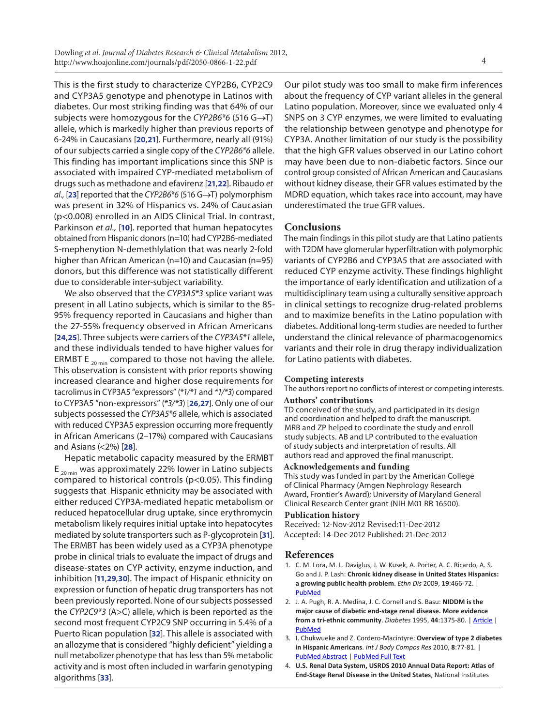This is the first study to characterize CYP2B6, CYP2C9 and CYP3A5 genotype and phenotype in Latinos with diabetes. Our most striking finding was that 64% of our subjects were homozygous for the *CYP2B6\*6* (516 G→T) allele, which is markedly higher than previous reports of 6-24% in Caucasians [**[20](#page-4-15)**,**[21](#page-4-16)**]. Furthermore, nearly all (91%) of our subjects carried a single copy of the *CYP2B6\*6* allele. This finding has important implications since this SNP is associated with impaired CYP-mediated metabolism of drugs such as methadone and efavirenz [**[21](#page-4-16)**,**[22](#page-4-17)**]. Ribaudo *et al.,* [**[23](#page-4-18)**] reported that the *CYP2B6\*6* (516 G→T) polymorphism was present in 32% of Hispanics vs. 24% of Caucasian (p<0.008) enrolled in an AIDS Clinical Trial. In contrast, Parkinson *et al.,* [**[10](#page-4-5)**]. reported that human hepatocytes obtained from Hispanic donors (n=10) had CYP2B6-mediated S-mephenytion N-demethlylation that was nearly 2-fold higher than African American (n=10) and Caucasian (n=95) donors, but this difference was not statistically different due to considerable inter-subject variability.

We also observed that the *CYP3A5\*3* splice variant was present in all Latino subjects, which is similar to the 85- 95% frequency reported in Caucasians and higher than the 27-55% frequency observed in African Americans [**[24](#page-4-19)**,**[25](#page-4-20)**]. Three subjects were carriers of the *CYP3A5\*1* allele, and these individuals tended to have higher values for ERMBT E  $_{20 \text{ min}}$  compared to those not having the allele. This observation is consistent with prior reports showing increased clearance and higher dose requirements for tacrolimus in CYP3A5 "expressors" (*\*1/\*1* and *\*1/\*3*) compared to CYP3A5 "non-expressors" (*\*3/\*3*) [**[26](#page-4-21)**,**[27](#page-4-22)**]. Only one of our subjects possessed the *CYP3A5\*6* allele, which is associated with reduced CYP3A5 expression occurring more frequently in African Americans (2–17%) compared with Caucasians and Asians (<2%) [**[28](#page-4-23)**].

Hepatic metabolic capacity measured by the ERMBT  $E_{20 \text{ min}}$  was approximately 22% lower in Latino subjects compared to historical controls (p<0.05). This finding suggests that Hispanic ethnicity may be associated with either reduced CYP3A-mediated hepatic metabolism or reduced hepatocellular drug uptake, since erythromycin metabolism likely requires initial uptake into hepatocytes mediated by solute transporters such as P-glycoprotein [**[31](#page-4-24)**]. The ERMBT has been widely used as a CYP3A phenotype probe in clinical trials to evaluate the impact of drugs and disease-states on CYP activity, enzyme induction, and inhibition [**[11](#page-4-6)**,**[29](#page-4-25)**,**[30](#page-4-26)**]. The impact of Hispanic ethnicity on expression or function of hepatic drug transporters has not been previously reported. None of our subjects possessed the *CYP2C9\*3* (A>C) allele, which is been reported as the second most frequent CYP2C9 SNP occurring in 5.4% of a Puerto Rican population [**[32](#page-4-27)**]. This allele is associated with an allozyme that is considered "highly deficient" yielding a null metabolizer phenotype that has less than 5% metabolic activity and is most often included in warfarin genotyping algorithms [**[33](#page-4-28)**].

Our pilot study was too small to make firm inferences about the frequency of CYP variant alleles in the general Latino population. Moreover, since we evaluated only 4 SNPS on 3 CYP enzymes, we were limited to evaluating the relationship between genotype and phenotype for CYP3A. Another limitation of our study is the possibility that the high GFR values observed in our Latino cohort may have been due to non-diabetic factors. Since our control group consisted of African American and Caucasians without kidney disease, their GFR values estimated by the MDRD equation, which takes race into account, may have underestimated the true GFR values.

## **Conclusions**

The main findings in this pilot study are that Latino patients with T2DM have glomerular hyperfiltration with polymorphic variants of CYP2B6 and CYP3A5 that are associated with reduced CYP enzyme activity. These findings highlight the importance of early identification and utilization of a multidisciplinary team using a culturally sensitive approach in clinical settings to recognize drug-related problems and to maximize benefits in the Latino population with diabetes. Additional long-term studies are needed to further understand the clinical relevance of pharmacogenomics variants and their role in drug therapy individualization for Latino patients with diabetes.

#### **Competing interests**

The authors report no conflicts of interest or competing interests.

#### **Authors' contributions**

TD conceived of the study, and participated in its design and coordination and helped to draft the manuscript. MRB and ZP helped to coordinate the study and enroll study subjects. AB and LP contributed to the evaluation of study subjects and interpretation of results. All authors read and approved the final manuscript.

#### **Acknowledgements and funding**

This study was funded in part by the American College of Clinical Pharmacy (Amgen Nephrology Research Award, Frontier's Award); University of Maryland General Clinical Research Center grant (NIH M01 RR 16500).

#### **Publication history**

Received: 12-Nov-2012 Revised:11-Dec-2012 Accepted: 14-Dec-2012 Published: 21-Dec-2012

## **References**

- <span id="page-3-0"></span>1. C. M. Lora, M. L. Daviglus, J. W. Kusek, A. Porter, A. C. Ricardo, A. S. Go and J. P. Lash: **Chronic kidney disease in United States Hispanics: a growing public health problem**. *Ethn Dis* 2009, **19**:466-72. | [PubMed](http://www.ncbi.nlm.nih.gov/pubmed/20073150?dopt=Citation)
- <span id="page-3-1"></span>2. J. A. Pugh, R. A. Medina, J. C. Cornell and S. Basu: **NIDDM is the major cause of diabetic end-stage renal disease. More evidence from a tri-ethnic community**. *Diabetes* 1995, **44**:1375-80. | [Article](http://dx.doi.org/10.2337/diab.44.12.1375) | [PubMed](http://www.ncbi.nlm.nih.gov/pubmed/7589841?dopt=Citation)
- <span id="page-3-2"></span>3. I. Chukwueke and Z. Cordero-Macintyre: **Overview of type 2 diabetes in Hispanic Americans**. *Int J Body Compos Res* 2010, **8**:77-81. | [PubMed Abstract](http://www.ncbi.nlm.nih.gov/pubmed/21243097?dopt=Citation) | [PubMed Full Text](http://www.ncbi.nlm.nih.gov/pmc/articles/PMC3019531/)
- <span id="page-3-3"></span>4. **U.S. Renal Data System, USRDS 2010 Annual Data Report: Atlas of End-Stage Renal Disease in the United States**, National Institutes